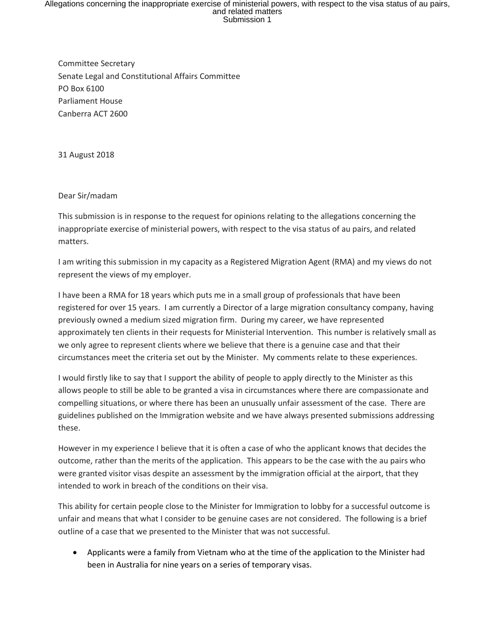## Allegations concerning the inappropriate exercise of ministerial powers, with respect to the visa status of au pairs,<br>and related matters<br>Submission 1

Committee Secretary Senate Legal and Constitutional Affairs Committee PO Box 6100 Parliament House Canberra ACT 2600

31 August 2018

Dear Sir/madam

This submission is in response to the request for opinions relating to the allegations concerning the inappropriate exercise of ministerial powers, with respect to the visa status of au pairs, and related matters.

I am writing this submission in my capacity as a Registered Migration Agent (RMA) and my views do not represent the views of my employer.

I have been a RMA for 18 years which puts me in a small group of professionals that have been registered for over 15 years. I am currently a Director of a large migration consultancy company, having previously owned a medium sized migration firm. During my career, we have represented approximately ten clients in their requests for Ministerial Intervention. This number is relatively small as we only agree to represent clients where we believe that there is a genuine case and that their circumstances meet the criteria set out by the Minister. My comments relate to these experiences.

I would firstly like to say that I support the ability of people to apply directly to the Minister as this allows people to still be able to be granted a visa in circumstances where there are compassionate and compelling situations, or where there has been an unusually unfair assessment of the case. There are guidelines published on the Immigration website and we have always presented submissions addressing these.

However in my experience I believe that it is often a case of who the applicant knows that decides the outcome, rather than the merits of the application. This appears to be the case with the au pairs who were granted visitor visas despite an assessment by the immigration official at the airport, that they intended to work in breach of the conditions on their visa.

This ability for certain people close to the Minister for Immigration to lobby for a successful outcome is unfair and means that what I consider to be genuine cases are not considered. The following is a brief outline of a case that we presented to the Minister that was not successful.

 Applicants were a family from Vietnam who at the time of the application to the Minister had been in Australia for nine years on a series of temporary visas.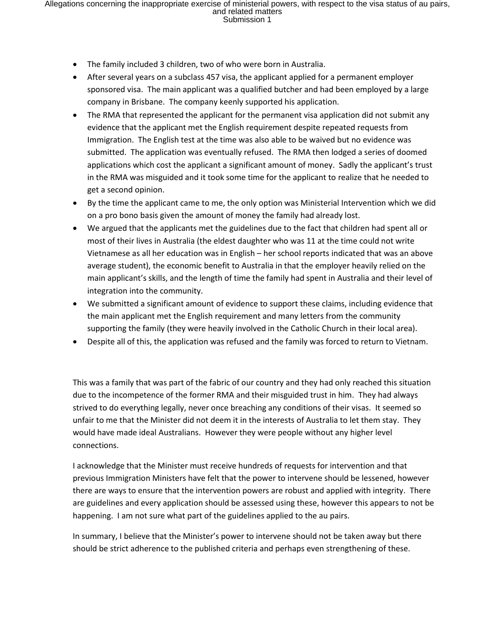- The family included 3 children, two of who were born in Australia.
- After several years on a subclass 457 visa, the applicant applied for a permanent employer sponsored visa. The main applicant was a qualified butcher and had been employed by a large company in Brisbane. The company keenly supported his application.
- The RMA that represented the applicant for the permanent visa application did not submit any evidence that the applicant met the English requirement despite repeated requests from Immigration. The English test at the time was also able to be waived but no evidence was submitted. The application was eventually refused. The RMA then lodged a series of doomed applications which cost the applicant a significant amount of money. Sadly the applicant's trust in the RMA was misguided and it took some time for the applicant to realize that he needed to get a second opinion.
- By the time the applicant came to me, the only option was Ministerial Intervention which we did on a pro bono basis given the amount of money the family had already lost.
- We argued that the applicants met the guidelines due to the fact that children had spent all or most of their lives in Australia (the eldest daughter who was 11 at the time could not write Vietnamese as all her education was in English – her school reports indicated that was an above average student), the economic benefit to Australia in that the employer heavily relied on the main applicant's skills, and the length of time the family had spent in Australia and their level of integration into the community.
- We submitted a significant amount of evidence to support these claims, including evidence that the main applicant met the English requirement and many letters from the community supporting the family (they were heavily involved in the Catholic Church in their local area).
- Despite all of this, the application was refused and the family was forced to return to Vietnam.

This was a family that was part of the fabric of our country and they had only reached this situation due to the incompetence of the former RMA and their misguided trust in him. They had always strived to do everything legally, never once breaching any conditions of their visas. It seemed so unfair to me that the Minister did not deem it in the interests of Australia to let them stay. They would have made ideal Australians. However they were people without any higher level connections.

I acknowledge that the Minister must receive hundreds of requests for intervention and that previous Immigration Ministers have felt that the power to intervene should be lessened, however there are ways to ensure that the intervention powers are robust and applied with integrity. There are guidelines and every application should be assessed using these, however this appears to not be happening. I am not sure what part of the guidelines applied to the au pairs.

In summary, I believe that the Minister's power to intervene should not be taken away but there should be strict adherence to the published criteria and perhaps even strengthening of these.